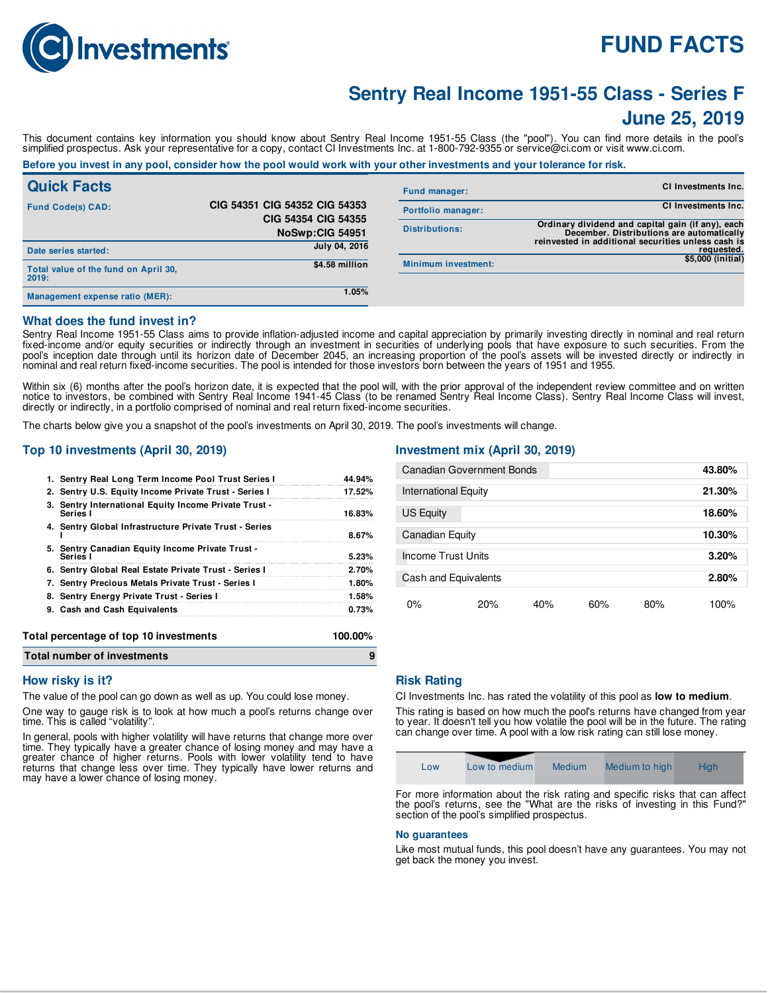

# **FUND FACTS**

### **Sentry Real Income 1951-55 Class - Series F June 25, 2019**

This document contains key information you should know about Sentry Real Income 1951-55 Class (the "pool"). You can find more details in the pool's simplified prospectus. Ask your representative for a copy, contact CI Investments Inc. at 1-800-792-9355 or service@ci.com or visit www.ci.com.

#### Before you invest in any pool, consider how the pool would work with your other investments and your tolerance for risk.

| <b>Quick Facts</b>                            |                                        | <b>Fund manager:</b>       | <b>CI Investments Inc.</b>                                                                                                                           |
|-----------------------------------------------|----------------------------------------|----------------------------|------------------------------------------------------------------------------------------------------------------------------------------------------|
| <b>Fund Code(s) CAD:</b>                      | CIG 54351 CIG 54352 CIG 54353          | Portfolio manager:         | <b>CI Investments Inc.</b>                                                                                                                           |
|                                               | CIG 54354 CIG 54355<br>NoSwp:CIG 54951 | <b>Distributions:</b>      | Ordinary dividend and capital gain (if any), each<br>December. Distributions are automatically<br>reinvested in additional securities unless cash is |
| Date series started:                          | July 04, 2016                          |                            | requested.                                                                                                                                           |
| Total value of the fund on April 30,<br>2019: | \$4.58 million                         | <b>Minimum investment:</b> | \$5,000 (initial)                                                                                                                                    |
| Management expense ratio (MER):               | 1.05%                                  |                            |                                                                                                                                                      |

#### **What does the fund invest in?**

Sentry Real Income 1951-55 Class aims to provide inflation-adjusted income and capital appreciation by primarily investing directly in nominal and real return fixed-income and/or equity securities or indirectly through an investment in securities of underlying pools that have exposure to such securities. From the pool's inception date through until its horizon date of December 2045, an increasing proportion of the pool's assets will be invested directly or indirectly in nominal and real return fixed-income securities. The pool is intended for those investors born between the years of 1951 and 1955.

Within six (6) months after the pool's horizon date, it is expected that the pool will, with the prior approval of the independent review committee and on written notice to investors, be combined with Sentry Real Income 1941-45 Class (to be renamed Sentry Real Income Class). Sentry Real Income Class will invest, directly or indirectly, in a portfolio comprised of nominal and real return fixed-income securities.

The charts below give you a snapshot of the pool's investments on April 30, 2019. The pool's investments will change.

#### **Top 10 investments (April 30, 2019)**

| Total number of investments                                       | 9       |
|-------------------------------------------------------------------|---------|
| Total percentage of top 10 investments                            | 100.00% |
| 9. Cash and Cash Equivalents                                      | 0.73%   |
| 8. Sentry Energy Private Trust - Series I                         | 1.58%   |
| 7. Sentry Precious Metals Private Trust - Series I                | 1.80%   |
| 6. Sentry Global Real Estate Private Trust - Series I             | 2.70%   |
| 5. Sentry Canadian Equity Income Private Trust -<br>Series I      | 5.23%   |
| 4. Sentry Global Infrastructure Private Trust - Series            | 8.67%   |
| 3. Sentry International Equity Income Private Trust -<br>Series I | 16.83%  |
| 2. Sentry U.S. Equity Income Private Trust - Series I             | 17.52%  |
| 1. Sentry Real Long Term Income Pool Trust Series I               | 44.94%  |

### **Investment mix (April 30, 2019)**

| Canadian Government Bonds   |     |     |     |     | 43.80% |
|-----------------------------|-----|-----|-----|-----|--------|
| <b>International Equity</b> |     |     |     |     | 21.30% |
| <b>US Equity</b>            |     |     |     |     | 18.60% |
| Canadian Equity             |     |     |     |     | 10.30% |
| Income Trust Units          |     |     |     |     | 3.20%  |
| Cash and Equivalents        |     |     |     |     | 2.80%  |
| 0%                          | 20% | 40% | 60% | 80% | 100%   |

#### **How risky is it?**

The value of the pool can go down as well as up. You could lose money.

One way to gauge risk is to look at how much a pool's returns change over time. This is called "volatility".

In general, pools with higher volatility will have returns that change more over time. They typically have a greater chance of losing money and may have a greater chance of higher returns. Pools with lower volatility tend to have returns that change less over time. They typically have lower returns and may have a lower chance of losing money.

### **Risk Rating**

CI Investments Inc. has rated the volatility of this pool as **low to medium**.

This rating is based on how much the pool's returns have changed from year to year. It doesn't tell you how volatile the pool will be in the future. The rating can change over time. A pool with a low risk rating can still lose money.



For more information about the risk rating and specific risks that can affect the pool's returns, see the "What are the risks of investing in this Fund?" section of the pool's simplified prospectus.

#### **No guarantees**

Like most mutual funds, this pool doesn't have any guarantees. You may not get back the money you invest.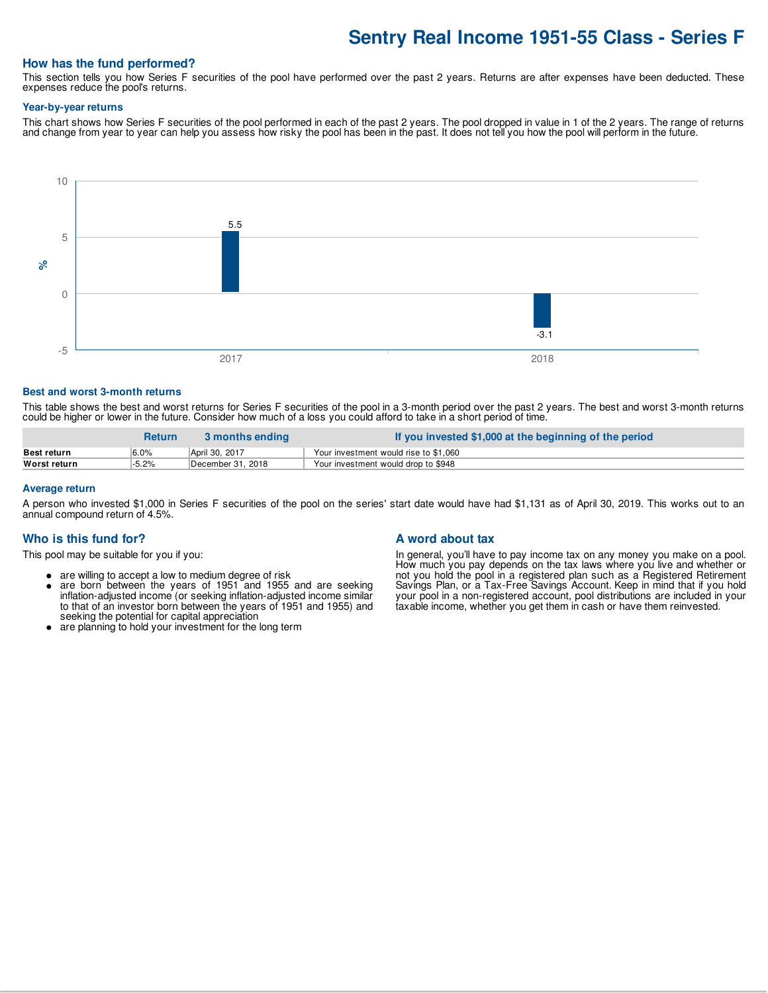## **Sentry Real Income 1951-55 Class - Series F**

#### **How has the fund performed?**

This section tells you how Series F securities of the pool have performed over the past 2 years. Returns are after expenses have been deducted. These expenses reduce the pool's returns.

#### **Year-by-year returns**

This chart shows how Series F securities of the pool performed in each of the past 2 years. The pool dropped in value in 1 of the 2 years. The range of returns and change from year to year can help you assess how risky the pool has been in the past. It does not tell you how the pool will perform in the future.



#### **Best and worst 3-month returns**

This table shows the best and worst returns for Series F securities of the pool in a 3-month period over the past 2 years. The best and worst 3-month returns could be higher or lower in the future. Consider how much of a loss you could afford to take in a short period of time.

|                    | <b>Return</b> | 3 months ending   | ∕ If you invested \$1,000 at the beginning of the period |
|--------------------|---------------|-------------------|----------------------------------------------------------|
| <b>Best return</b> | $6.0\%$       | April 30, 2017    | Your investment would rise to \$1,060                    |
| Worst return       | 5.2%          | December 31. 2018 | Your investment would drop to \$948                      |

#### **Average return**

A person who invested \$1,000 in Series F securities of the pool on the series' start date would have had \$1,131 as of April 30, 2019. This works out to an annual compound return of 4.5%.

#### **Who is this fund for?**

This pool may be suitable for you if you:

- are willing to accept a low to medium degree of risk
- $\bullet$ are born between the years of 1951 and 1955 and are seeking inflation-adjusted income (or seeking inflation-adjusted income similar to that of an investor born between the years of 1951 and 1955) and seeking the potential for capital appreciation
- are planning to hold your investment for the long term

#### **A word about tax**

In general, you'll have to pay income tax on any money you make on a pool. How much you pay depends on the tax laws where you live and whether or not you hold the pool in a registered plan such as a Registered Retirement Savings Plan, or a Tax-Free Savings Account. Keep in mind that if you hold your pool in a non-registered account, pool distributions are included in your taxable income, whether you get them in cash or have them reinvested.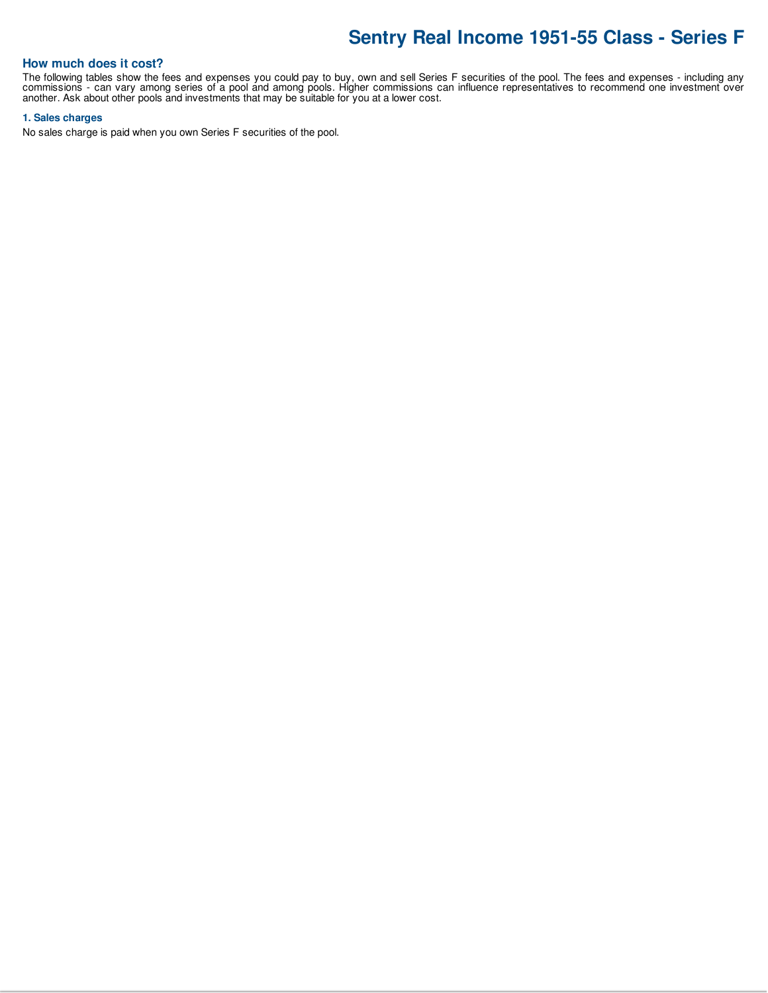## **Sentry Real Income 1951-55 Class - Series F**

#### **How much does it cost?**

The following tables show the fees and expenses you could pay to buy, own and sell Series F securities of the pool. The fees and expenses - including any commissions - can vary among series of a pool and among pools. Higher commissions can influence representatives to recommend one investment over another. Ask about other pools and investments that may be suitable for you at a lower cost.

#### **1. Sales charges**

No sales charge is paid when you own Series F securities of the pool.